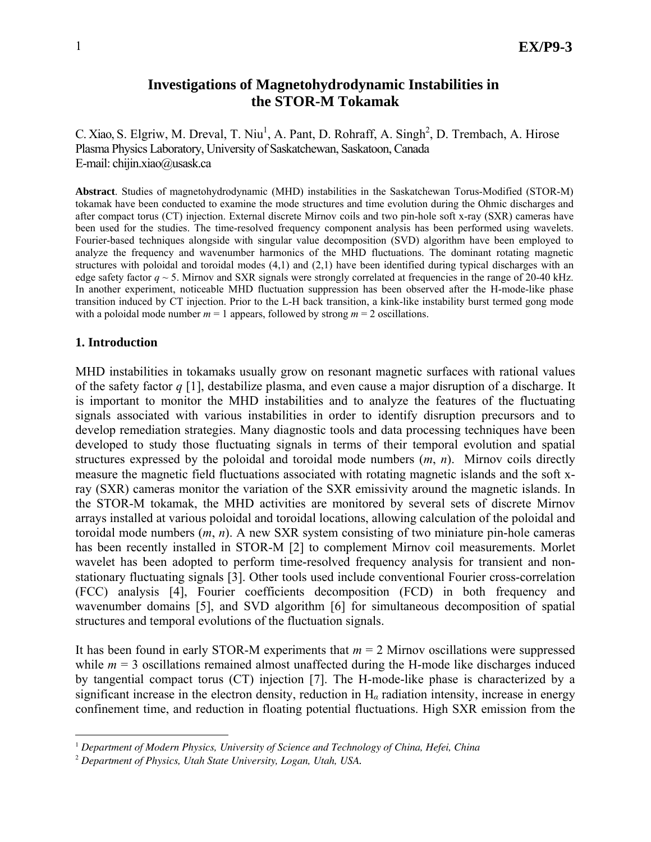## **Investigations of Magnetohydrodynamic Instabilities in the STOR-M Tokamak**

C. Xiao, S. Elgriw, M. Dreval, T. Niu<sup>1</sup>, A. Pant, D. Rohraff, A. Singh<sup>2</sup>, D. Trembach, A. Hirose Plasma Physics Laboratory, University of Saskatchewan, Saskatoon, Canada E-mail: chijin.xiao@usask.ca

**Abstract**. Studies of magnetohydrodynamic (MHD) instabilities in the Saskatchewan Torus-Modified (STOR-M) tokamak have been conducted to examine the mode structures and time evolution during the Ohmic discharges and after compact torus (CT) injection. External discrete Mirnov coils and two pin-hole soft x-ray (SXR) cameras have been used for the studies. The time-resolved frequency component analysis has been performed using wavelets. Fourier-based techniques alongside with singular value decomposition (SVD) algorithm have been employed to analyze the frequency and wavenumber harmonics of the MHD fluctuations. The dominant rotating magnetic structures with poloidal and toroidal modes (4,1) and (2,1) have been identified during typical discharges with an edge safety factor  $q \sim 5$ . Mirnov and SXR signals were strongly correlated at frequencies in the range of 20-40 kHz. In another experiment, noticeable MHD fluctuation suppression has been observed after the H-mode-like phase transition induced by CT injection. Prior to the L-H back transition, a kink-like instability burst termed gong mode with a poloidal mode number  $m = 1$  appears, followed by strong  $m = 2$  oscillations.

#### **1. Introduction**

 $\overline{a}$ 

MHD instabilities in tokamaks usually grow on resonant magnetic surfaces with rational values of the safety factor *q* [1], destabilize plasma, and even cause a major disruption of a discharge. It is important to monitor the MHD instabilities and to analyze the features of the fluctuating signals associated with various instabilities in order to identify disruption precursors and to develop remediation strategies. Many diagnostic tools and data processing techniques have been developed to study those fluctuating signals in terms of their temporal evolution and spatial structures expressed by the poloidal and toroidal mode numbers (*m*, *n*). Mirnov coils directly measure the magnetic field fluctuations associated with rotating magnetic islands and the soft xray (SXR) cameras monitor the variation of the SXR emissivity around the magnetic islands. In the STOR-M tokamak, the MHD activities are monitored by several sets of discrete Mirnov arrays installed at various poloidal and toroidal locations, allowing calculation of the poloidal and toroidal mode numbers (*m*, *n*). A new SXR system consisting of two miniature pin-hole cameras has been recently installed in STOR-M [2] to complement Mirnov coil measurements. Morlet wavelet has been adopted to perform time-resolved frequency analysis for transient and nonstationary fluctuating signals [3]. Other tools used include conventional Fourier cross-correlation (FCC) analysis [4], Fourier coefficients decomposition (FCD) in both frequency and wavenumber domains [5], and SVD algorithm [6] for simultaneous decomposition of spatial structures and temporal evolutions of the fluctuation signals.

It has been found in early STOR-M experiments that  $m = 2$  Mirnov oscillations were suppressed while  $m = 3$  oscillations remained almost unaffected during the H-mode like discharges induced by tangential compact torus (CT) injection [7]. The H-mode-like phase is characterized by a significant increase in the electron density, reduction in H*α* radiation intensity, increase in energy confinement time, and reduction in floating potential fluctuations. High SXR emission from the

<sup>1</sup> *Department of Modern Physics, University of Science and Technology of China, Hefei, China*

<sup>2</sup> *Department of Physics, Utah State University, Logan, Utah, USA.*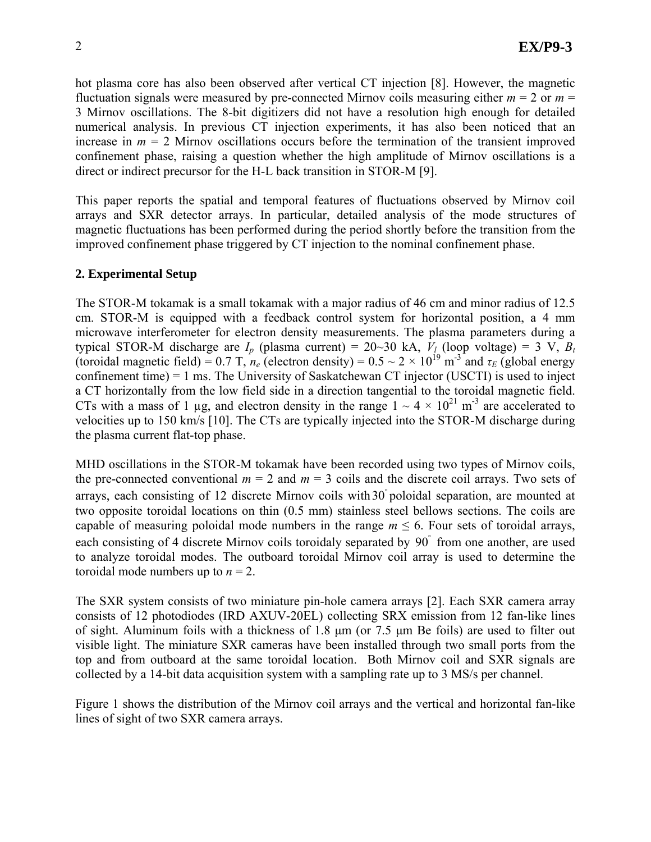hot plasma core has also been observed after vertical CT injection [8]. However, the magnetic fluctuation signals were measured by pre-connected Mirnov coils measuring either  $m = 2$  or  $m =$ 3 Mirnov oscillations. The 8-bit digitizers did not have a resolution high enough for detailed numerical analysis. In previous CT injection experiments, it has also been noticed that an increase in  $m = 2$  Mirnov oscillations occurs before the termination of the transient improved confinement phase, raising a question whether the high amplitude of Mirnov oscillations is a direct or indirect precursor for the H-L back transition in STOR-M [9].

This paper reports the spatial and temporal features of fluctuations observed by Mirnov coil arrays and SXR detector arrays. In particular, detailed analysis of the mode structures of magnetic fluctuations has been performed during the period shortly before the transition from the improved confinement phase triggered by CT injection to the nominal confinement phase.

## **2. Experimental Setup**

The STOR-M tokamak is a small tokamak with a major radius of 46 cm and minor radius of 12.5 cm. STOR-M is equipped with a feedback control system for horizontal position, a 4 mm microwave interferometer for electron density measurements. The plasma parameters during a typical STOR-M discharge are  $I_p$  (plasma current) = 20~30 kA,  $V_l$  (loop voltage) = 3 V,  $B_t$ (toroidal magnetic field) = 0.7 T,  $n_e$  (electron density) = 0.5 ~ 2 × 10<sup>19</sup> m<sup>-3</sup> and  $\tau_E$  (global energy confinement time) = 1 ms. The University of Saskatchewan CT injector (USCTI) is used to inject a CT horizontally from the low field side in a direction tangential to the toroidal magnetic field. CTs with a mass of 1 µg, and electron density in the range  $1 \sim 4 \times 10^{21}$  m<sup>-3</sup> are accelerated to velocities up to 150 km/s [10]. The CTs are typically injected into the STOR-M discharge during the plasma current flat-top phase.

MHD oscillations in the STOR-M tokamak have been recorded using two types of Mirnov coils, the pre-connected conventional  $m = 2$  and  $m = 3$  coils and the discrete coil arrays. Two sets of arrays, each consisting of 12 discrete Mirnov coils with  $30^{\circ}$  poloidal separation, are mounted at two opposite toroidal locations on thin (0.5 mm) stainless steel bellows sections. The coils are capable of measuring poloidal mode numbers in the range  $m \leq 6$ . Four sets of toroidal arrays, each consisting of 4 discrete Mirnov coils toroidaly separated by 90° from one another, are used to analyze toroidal modes. The outboard toroidal Mirnov coil array is used to determine the toroidal mode numbers up to  $n = 2$ .

The SXR system consists of two miniature pin-hole camera arrays [2]. Each SXR camera array consists of 12 photodiodes (IRD AXUV-20EL) collecting SRX emission from 12 fan-like lines of sight. Aluminum foils with a thickness of 1.8 μm (or 7.5 μm Be foils) are used to filter out visible light. The miniature SXR cameras have been installed through two small ports from the top and from outboard at the same toroidal location. Both Mirnov coil and SXR signals are collected by a 14-bit data acquisition system with a sampling rate up to 3 MS/s per channel.

Figure 1 shows the distribution of the Mirnov coil arrays and the vertical and horizontal fan-like lines of sight of two SXR camera arrays.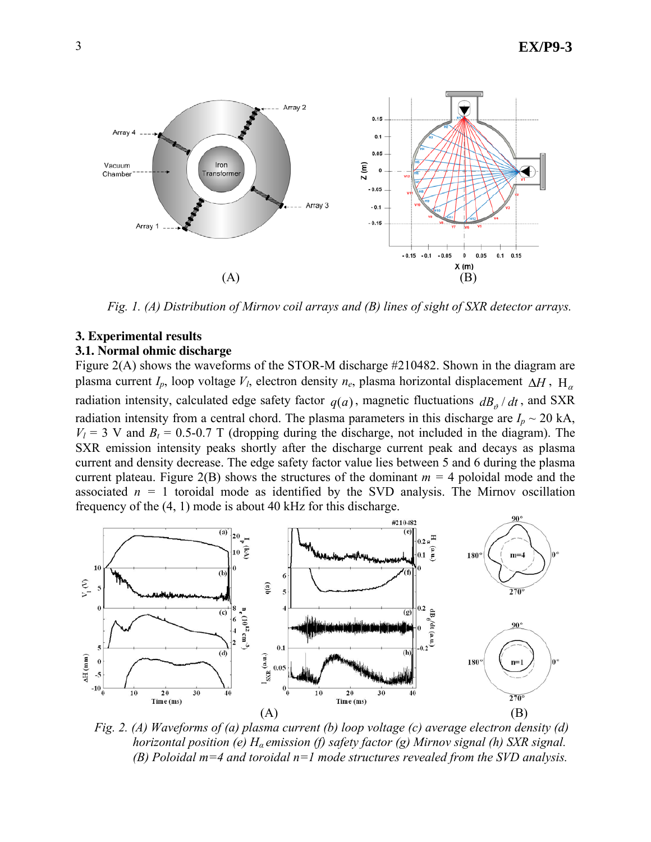

*Fig. 1. (A) Distribution of Mirnov coil arrays and (B) lines of sight of SXR detector arrays.* 

# **3. Experimental results**

### **3.1. Normal ohmic discharge**

Figure 2(A) shows the waveforms of the STOR-M discharge #210482. Shown in the diagram are plasma current *I<sub>p</sub>*, loop voltage *V<sub>l</sub>*, electron density  $n_e$ , plasma horizontal displacement  $\Delta H$ , H<sub> $\alpha$ </sub> radiation intensity, calculated edge safety factor  $q(a)$ , magnetic fluctuations  $dB_{\theta}/dt$ , and SXR radiation intensity from a central chord. The plasma parameters in this discharge are  $I_p \sim 20$  kA,  $V_1 = 3$  V and  $B_1 = 0.5$ -0.7 T (dropping during the discharge, not included in the diagram). The SXR emission intensity peaks shortly after the discharge current peak and decays as plasma current and density decrease. The edge safety factor value lies between 5 and 6 during the plasma current plateau. Figure  $2(B)$  shows the structures of the dominant  $m = 4$  poloidal mode and the associated  $n = 1$  toroidal mode as identified by the SVD analysis. The Mirnov oscillation frequency of the (4, 1) mode is about 40 kHz for this discharge.



*Fig. 2. (A) Waveforms of (a) plasma current (b) loop voltage (c) average electron density (d) horizontal position (e) H<sup>α</sup> emission (f) safety factor (g) Mirnov signal (h) SXR signal. (B) Poloidal m=4 and toroidal n=1 mode structures revealed from the SVD analysis.*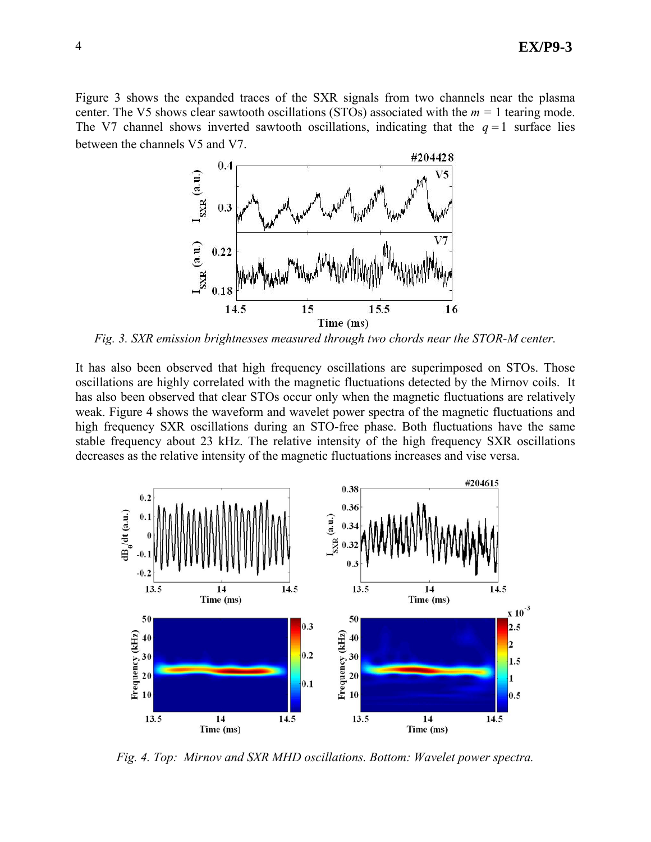Figure 3 shows the expanded traces of the SXR signals from two channels near the plasma center. The V5 shows clear sawtooth oscillations (STOs) associated with the *m =* 1 tearing mode. The V7 channel shows inverted sawtooth oscillations, indicating that the  $q = 1$  surface lies between the channels V5 and V7.



*Fig. 3. SXR emission brightnesses measured through two chords near the STOR-M center.* 

It has also been observed that high frequency oscillations are superimposed on STOs. Those oscillations are highly correlated with the magnetic fluctuations detected by the Mirnov coils. It has also been observed that clear STOs occur only when the magnetic fluctuations are relatively weak. Figure 4 shows the waveform and wavelet power spectra of the magnetic fluctuations and high frequency SXR oscillations during an STO-free phase. Both fluctuations have the same stable frequency about 23 kHz. The relative intensity of the high frequency SXR oscillations decreases as the relative intensity of the magnetic fluctuations increases and vise versa.



*Fig. 4. Top: Mirnov and SXR MHD oscillations. Bottom: Wavelet power spectra.*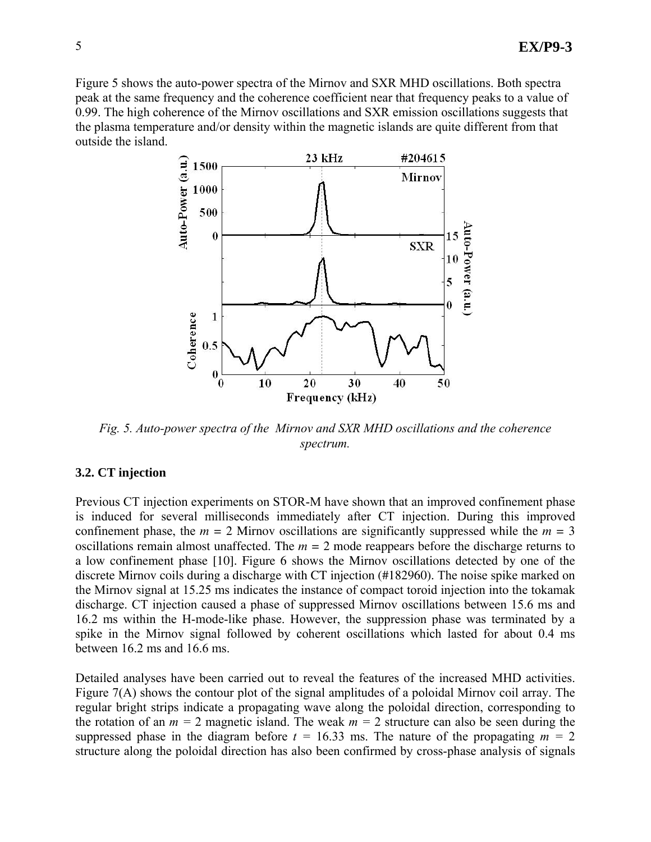Figure 5 shows the auto-power spectra of the Mirnov and SXR MHD oscillations. Both spectra peak at the same frequency and the coherence coefficient near that frequency peaks to a value of 0.99. The high coherence of the Mirnov oscillations and SXR emission oscillations suggests that the plasma temperature and/or density within the magnetic islands are quite different from that outside the island.



*Fig. 5. Auto-power spectra of the Mirnov and SXR MHD oscillations and the coherence spectrum.* 

### **3.2. CT injection**

Previous CT injection experiments on STOR-M have shown that an improved confinement phase is induced for several milliseconds immediately after CT injection. During this improved confinement phase, the  $m = 2$  Mirnov oscillations are significantly suppressed while the  $m = 3$ oscillations remain almost unaffected. The  $m = 2$  mode reappears before the discharge returns to a low confinement phase [10]. Figure 6 shows the Mirnov oscillations detected by one of the discrete Mirnov coils during a discharge with CT injection (#182960). The noise spike marked on the Mirnov signal at 15.25 ms indicates the instance of compact toroid injection into the tokamak discharge. CT injection caused a phase of suppressed Mirnov oscillations between 15.6 ms and 16.2 ms within the H-mode-like phase. However, the suppression phase was terminated by a spike in the Mirnov signal followed by coherent oscillations which lasted for about 0.4 ms between 16.2 ms and 16.6 ms.

Detailed analyses have been carried out to reveal the features of the increased MHD activities. Figure 7(A) shows the contour plot of the signal amplitudes of a poloidal Mirnov coil array. The regular bright strips indicate a propagating wave along the poloidal direction, corresponding to the rotation of an  $m = 2$  magnetic island. The weak  $m = 2$  structure can also be seen during the suppressed phase in the diagram before  $t = 16.33$  ms. The nature of the propagating  $m = 2$ structure along the poloidal direction has also been confirmed by cross-phase analysis of signals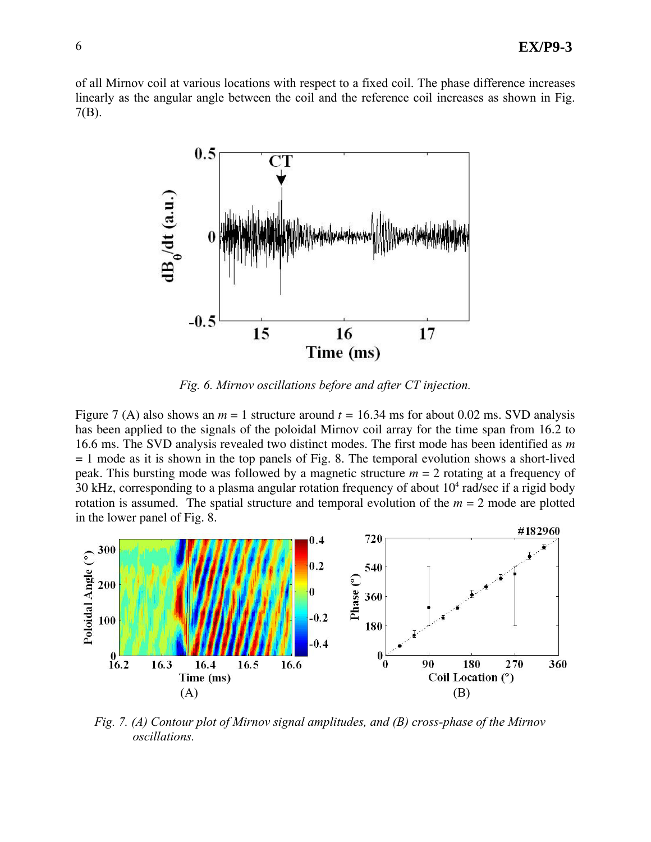of all Mirnov coil at various locations with respect to a fixed coil. The phase difference increases linearly as the angular angle between the coil and the reference coil increases as shown in Fig. 7(B).



*Fig. 6. Mirnov oscillations before and after CT injection.* 

Figure 7 (A) also shows an  $m = 1$  structure around  $t = 16.34$  ms for about 0.02 ms. SVD analysis has been applied to the signals of the poloidal Mirnov coil array for the time span from 16.2 to 16.6 ms. The SVD analysis revealed two distinct modes. The first mode has been identified as *m*  $= 1$  mode as it is shown in the top panels of Fig. 8. The temporal evolution shows a short-lived peak. This bursting mode was followed by a magnetic structure *m* = 2 rotating at a frequency of 30 kHz, corresponding to a plasma angular rotation frequency of about  $10<sup>4</sup>$  rad/sec if a rigid body rotation is assumed. The spatial structure and temporal evolution of the  $m = 2$  mode are plotted in the lower panel of Fig. 8.



*Fig. 7. (A) Contour plot of Mirnov signal amplitudes, and (B) cross-phase of the Mirnov oscillations.*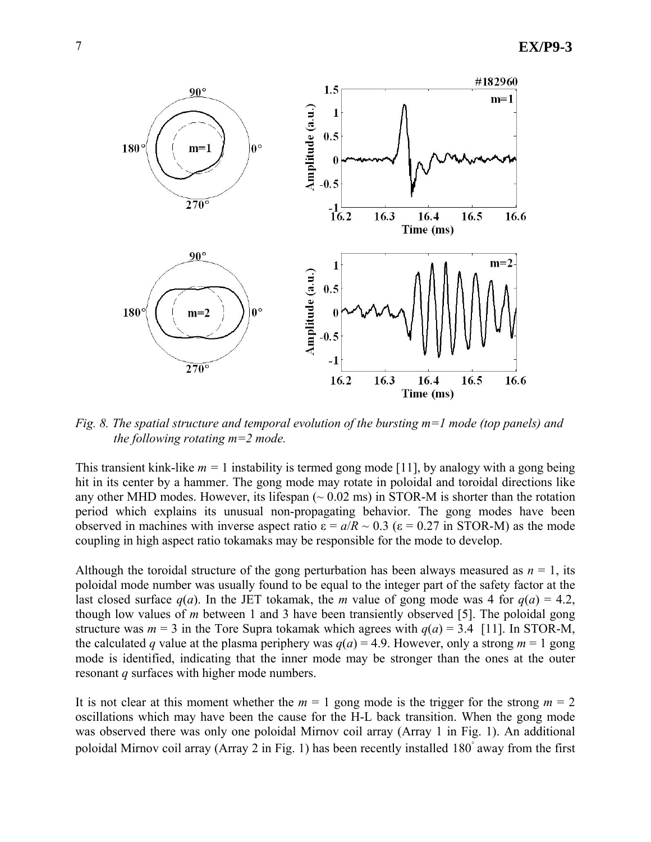

*Fig. 8. The spatial structure and temporal evolution of the bursting m=1 mode (top panels) and the following rotating m=2 mode.* 

This transient kink-like  $m = 1$  instability is termed gong mode [11], by analogy with a gong being hit in its center by a hammer. The gong mode may rotate in poloidal and toroidal directions like any other MHD modes. However, its lifespan  $(\sim 0.02 \text{ ms})$  in STOR-M is shorter than the rotation period which explains its unusual non-propagating behavior. The gong modes have been observed in machines with inverse aspect ratio  $ε = a/R \sim 0.3$  ( $ε = 0.27$  in STOR-M) as the mode coupling in high aspect ratio tokamaks may be responsible for the mode to develop.

Although the toroidal structure of the gong perturbation has been always measured as  $n = 1$ , its poloidal mode number was usually found to be equal to the integer part of the safety factor at the last closed surface  $q(a)$ . In the JET tokamak, the *m* value of gong mode was 4 for  $q(a) = 4.2$ , though low values of *m* between 1 and 3 have been transiently observed [5]. The poloidal gong structure was  $m = 3$  in the Tore Supra tokamak which agrees with  $q(a) = 3.4$  [11]. In STOR-M, the calculated *q* value at the plasma periphery was  $q(a) = 4.9$ . However, only a strong  $m = 1$  gong mode is identified, indicating that the inner mode may be stronger than the ones at the outer resonant *q* surfaces with higher mode numbers.

It is not clear at this moment whether the  $m = 1$  gong mode is the trigger for the strong  $m = 2$ oscillations which may have been the cause for the H-L back transition. When the gong mode was observed there was only one poloidal Mirnov coil array (Array 1 in Fig. 1). An additional poloidal Mirnov coil array (Array 2 in Fig. 1) has been recently installed  $180^\circ$  away from the first